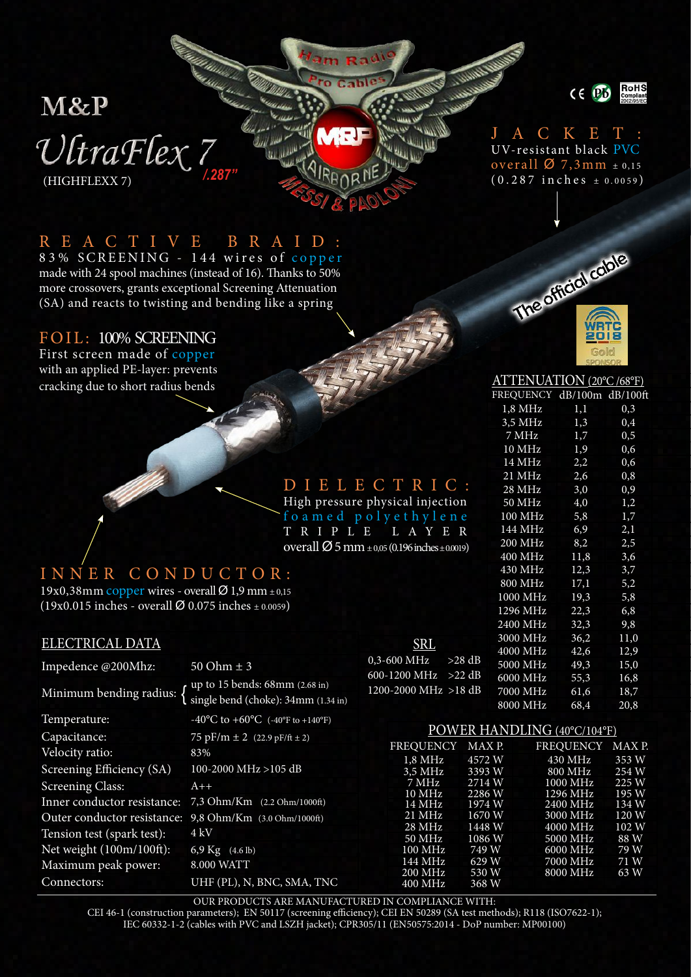# M&P  $\mathcal{V}$ traFlex 7 (HIGHFLEXX 7)



#### J A C K E T : UV-resistant black PVC overall  $\varnothing$  7,3mm  $\pm$  0,15 (0.287 inches ± 0.0059 )

#### R E A C T I V E B R A I D :

83% SCREENING - 144 wires of copper made with 24 spool machines (instead of 16). Thanks to 50% more crossovers, grants exceptional Screening Attenuation (SA) and reacts to twisting and bending like a spring

#### FOIL: 100% SCREENING

First screen made of copper with an applied PE-layer: prevents cracking due to short radius bends



### DIELECTRIC:

m Rat

High pressure physical injection foamed polyethylene TRIPLE LAYER overall  $\emptyset$  5 mm  $_{\pm 0.05}$  (0.196 inches  $_{\pm 0.0019}$ )

#### I N N E R C O N D U C T O R :

19x0,38mm copper wires - overall  $\varnothing$  1,9 mm  $\pm$  0,15  $(19x0.015$  inches - overall Ø 0.075 inches  $\pm$  0.0059)

#### ELECTRICAL DATA

| Impedence @200Mhz:          | $0,3-$<br>$50 Ohm \pm 3$                                                              |  |  |  |  |
|-----------------------------|---------------------------------------------------------------------------------------|--|--|--|--|
| Minimum bending radius:     | 600-<br>up to 15 bends: 68mm (2.68 in)<br>1200<br>single bend (choke): 34mm (1.34 in) |  |  |  |  |
| Temperature:                | $-40^{\circ}$ C to $+60^{\circ}$ C (-40°F to +140°F)                                  |  |  |  |  |
| Capacitance:                | 75 pF/m $\pm$ 2 (22.9 pF/ft $\pm$ 2)                                                  |  |  |  |  |
| Velocity ratio:             | 83%                                                                                   |  |  |  |  |
| Screening Efficiency (SA)   | 100-2000 MHz >105 dB                                                                  |  |  |  |  |
| <b>Screening Class:</b>     | $A++$                                                                                 |  |  |  |  |
| Inner conductor resistance: | $7,3$ Ohm/Km $(2.2 \text{ Ohm}/1000\text{ft})$                                        |  |  |  |  |
| Outer conductor resistance: | 9,8 Ohm/Km (3.0 Ohm/1000ft)                                                           |  |  |  |  |
| Tension test (spark test):  | 4 kV                                                                                  |  |  |  |  |
| Net weight (100m/100ft):    | 6,9 Kg (4.6 lb)                                                                       |  |  |  |  |
| Maximum peak power:         | 8.000 WATT                                                                            |  |  |  |  |
| Connectors:                 | UHF (PL), N, BNC, SMA, TNC                                                            |  |  |  |  |

| SRL                         |          |
|-----------------------------|----------|
| $0.3 - 600 \text{ MHz}$     | $>28$ dB |
| $600-1200$ MHz $>22$ dB     |          |
| $1200 - 2000$ MHz $> 18$ dB |          |
|                             |          |

#### 10 MHz 1,9 0,6<br>14 MHz 2,2 0,6 14 MHz 2,2 0,6<br>21 MHz 2,6 0,8 21 MHz 2,6 0,8<br>28 MHz 3,0 0,9 28 MHz 3,0 0,9<br>50 MHz 4,0 1,2

7 MHz 1,7 0,5

ATTENUATION (20°C /68°F) FREQUENCY dB/100m dB/100ft 1,8 MHz 1,1 0,3 3,5 MHz 1,3 0,4<br>7 MHz 1,7 0,5

50 MHz 4,0<br>100 MHz 5,8 100 MHz 5,8 1,7<br>144 MHz 6.9 2.1 144 MHz 6,9 2,1<br>200 MHz 8.2 2.5 200 MHz 8,2<br>400 MHz 11.8 400 MHz 11,8 3,6 430 MHz 12,3 3,7 800 MHz 17,1 5,2 1000 MHz 19,3 5,8 1296 MHz 22,3 6,8 2400 MHz 32,3 9,8 3000 MHz 36,2 11,0 4000 MHz 42,6 12,9 5000 MHz 49,3 15,0 6000 MHz 55,3 16,8 7000 MHz 61,6 18,7<br>8000 MHz 68,4 20,8 8000 MHz

#### POWER HANDLING (40°C/104°F)

| MAX P. | <b>FREQUENCY</b> | MAX P. |
|--------|------------------|--------|
| 4572 W | 430 MHz          | 353 W  |
| 3393W  | 800 MHz          | 254 W  |
| 2714 W | 1000 MHz         | 225 W  |
| 2286 W | 1296 MHz         | 195 W  |
| 1974 W | 2400 MHz         | 134 W  |
| 1670 W | 3000 MHz         | 120 W  |
| 1448 W | 4000 MHz         | 102 W  |
| 1086 W | 5000 MHz         | 88 W   |
| 749 W  | 6000 MHz         | 79 W   |
| 629 W  | 7000 MHz         | 71 W   |
| 530 W  | 8000 MHz         | 63 W   |
| 368 W  |                  |        |
|        |                  |        |

OUR PRODUCTS ARE MANUFACTURED IN COMPLIANCE WITH:

CEI 46-1 (construction parameters); EN 50117 (screening efficiency); CEI EN 50289 (SA test methods); R118 (ISO7622-1);

IEC 60332-1-2 (cables with PVC and LSZH jacket); CPR305/11 (EN50575:2014 - DoP number: MP00100)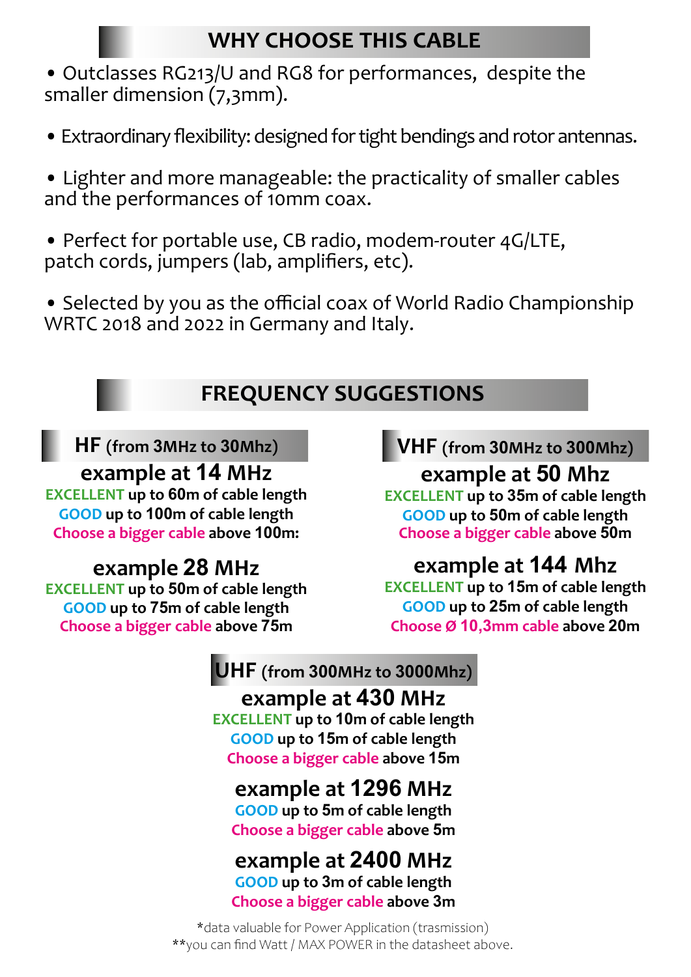## **WHY CHOOSE THIS CABLE**

• Outclasses RG213/U and RG8 for performances, despite the smaller dimension (7,3mm).

• Extraordinary flexibility: designed for tight bendings and rotor antennas.

• Lighter and more manageable: the practicality of smaller cables and the performances of 10mm coax.

• Perfect for portable use, CB radio, modem-router 4G/LTE, patch cords, jumpers (lab, amplifiers, etc).

• Selected by you as the official coax of World Radio Championship WRTC 2018 and 2022 in Germany and Italy.

## **FREQUENCY SUGGESTIONS**

### **HF (from 3MHz to 30Mhz)**

### **example at 14 MHz**

**EXCELLENT up to 60m of cable length GOOD up to 100m of cable length Choose a bigger cable above 100m:**

# **example 28 MHz**

**EXCELLENT up to 50m of cable length GOOD up to 75m of cable length Choose a bigger cable above 75m**

## **VHF (from 30MHz to 300Mhz)**

**example at 50 Mhz EXCELLENT up to 35m of cable length GOOD up to 50m of cable length Choose a bigger cable above 50m**

# **example at 144 Mhz**

**EXCELLENT up to 15m of cable length GOOD up to 25m of cable length Choose Ø 10,3mm cable above 20m**

## **UHF (from 300MHz to 3000Mhz)**

# **example at 430 MHz**

**EXCELLENT up to 10m of cable length GOOD up to 15m of cable length Choose a bigger cable above 15m**

# **example at 1296 MHz**

**GOOD up to 5m of cable length Choose a bigger cable above 5m**

### **example at 2400 MHz GOOD up to 3m of cable length**

**Choose a bigger cable above 3m**

\*data valuable for Power Application (trasmission) \*\*you can find Watt / MAX POWER in the datasheet above.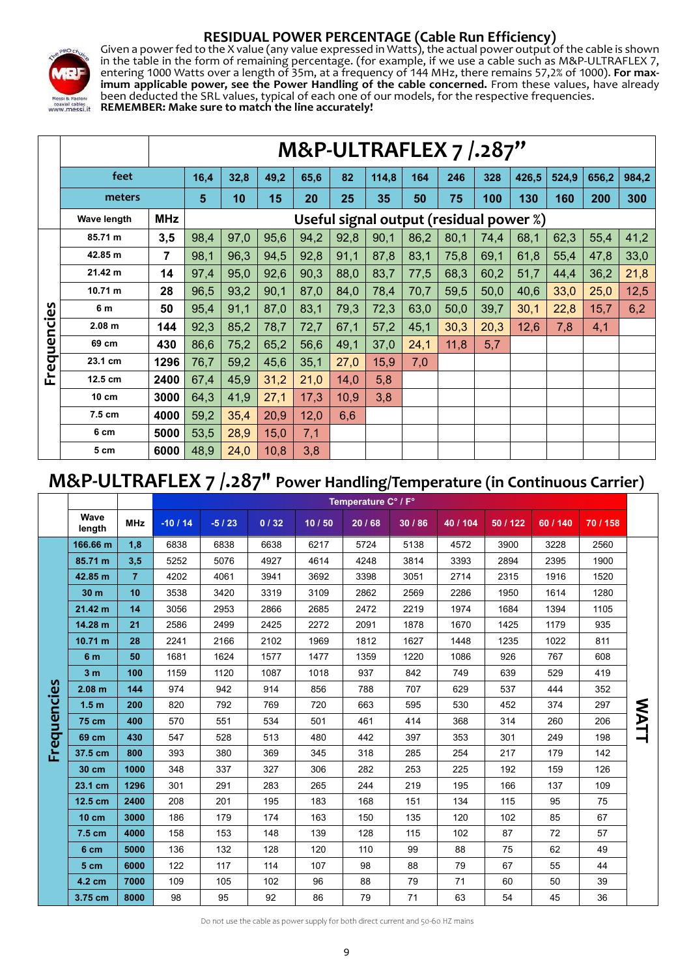



**RESIDUAL POWER PERCENTAGE (Cable Run Efficiency)**<br>Given a power fed to the X value (any value expressed in Watts), the actual power output of the cable is shown in the table in the form of remaining percentage. (for example, if we use a cable such as M&P-ULTRAFLEX 7, entering 1000 Watts over a length of 35m, at a frequency of 144 MHz, there remains 57,2% of 1000). **For max- imum applicable power, see the Power Handling of the cable concerned.** From these values, have already been deducted the SRL values, typical of each one of our models, for the respective frequencies.<br>been deducted the SRL values, typical of each one of our models, for the respective frequencies. **REMEMBER: Make sure to match the line accurately!**

|             |                    | M&P-ULTRAFLEX 7 / .287"                               |      |      |      |      |      |       |      |      |      |       |       |       |       |  |
|-------------|--------------------|-------------------------------------------------------|------|------|------|------|------|-------|------|------|------|-------|-------|-------|-------|--|
|             | feet               |                                                       | 16,4 | 32,8 | 49,2 | 65,6 | 82   | 114,8 | 164  | 246  | 328  | 426,5 | 524,9 | 656,2 | 984,2 |  |
|             | meters             |                                                       | 5    | 10   | 15   | 20   | 25   | 35    | 50   | 75   | 100  | 130   | 160   | 200   | 300   |  |
|             | <b>Wave length</b> | <b>MHz</b><br>Useful signal output (residual power %) |      |      |      |      |      |       |      |      |      |       |       |       |       |  |
|             | 85.71 m            | 3,5                                                   | 98,4 | 97,0 | 95,6 | 94,2 | 92,8 | 90,1  | 86,2 | 80,1 | 74,4 | 68,1  | 62,3  | 55,4  | 41,2  |  |
|             | 42.85 m            | $\overline{7}$                                        | 98,1 | 96,3 | 94,5 | 92,8 | 91,1 | 87,8  | 83,1 | 75,8 | 69,1 | 61,8  | 55,4  | 47,8  | 33,0  |  |
|             | 21.42 m            | 14                                                    | 97,4 | 95,0 | 92,6 | 90,3 | 88,0 | 83,7  | 77,5 | 68,3 | 60,2 | 51,7  | 44,4  | 36,2  | 21,8  |  |
|             | 10.71 m            | 28                                                    | 96,5 | 93,2 | 90,1 | 87,0 | 84,0 | 78,4  | 70,7 | 59,5 | 50,0 | 40,6  | 33,0  | 25,0  | 12,5  |  |
|             | 6 m                | 50                                                    | 95,4 | 91,1 | 87,0 | 83,1 | 79,3 | 72,3  | 63,0 | 50,0 | 39,7 | 30,1  | 22,8  | 15,7  | 6,2   |  |
| Frequencies | 2.08 <sub>m</sub>  | 144                                                   | 92,3 | 85,2 | 78,7 | 72,7 | 67,1 | 57,2  | 45,1 | 30,3 | 20,3 | 12,6  | 7,8   | 4,1   |       |  |
|             | 69 cm              | 430                                                   | 86,6 | 75,2 | 65,2 | 56,6 | 49,1 | 37,0  | 24,1 | 11,8 | 5,7  |       |       |       |       |  |
|             | 23.1 cm            | 1296                                                  | 76,7 | 59,2 | 45,6 | 35,1 | 27,0 | 15,9  | 7,0  |      |      |       |       |       |       |  |
|             | 12.5 cm            | 2400                                                  | 67,4 | 45,9 | 31,2 | 21,0 | 14,0 | 5,8   |      |      |      |       |       |       |       |  |
|             | 10 cm              | 3000                                                  | 64,3 | 41,9 | 27,1 | 17,3 | 10,9 | 3,8   |      |      |      |       |       |       |       |  |
|             | 7.5 cm             | 4000                                                  | 59,2 | 35,4 | 20,9 | 12,0 | 6,6  |       |      |      |      |       |       |       |       |  |
|             | 6 cm               | 5000                                                  | 53,5 | 28,9 | 15,0 | 7,1  |      |       |      |      |      |       |       |       |       |  |
|             | 5 cm               | 6000                                                  | 48,9 | 24,0 | 10,8 | 3,8  |      |       |      |      |      |       |       |       |       |  |

### **M&P-ULTRAFLEX 7 /.287" Power Handling/Temperature (in Continuous Carrier)**

|             |                  |                |          | Temperature C° / F° |      |       |       |       |          |          |          |        |      |
|-------------|------------------|----------------|----------|---------------------|------|-------|-------|-------|----------|----------|----------|--------|------|
|             | Wave<br>length   | <b>MHz</b>     | $-10/14$ | $-5/23$             | 0/32 | 10/50 | 20/68 | 30/86 | 40 / 104 | 50 / 122 | 60 / 140 | 70/158 |      |
|             | 166.66 m         | 1,8            | 6838     | 6838                | 6638 | 6217  | 5724  | 5138  | 4572     | 3900     | 3228     | 2560   |      |
|             | 85.71 m          | 3,5            | 5252     | 5076                | 4927 | 4614  | 4248  | 3814  | 3393     | 2894     | 2395     | 1900   |      |
|             | 42.85 m          | $\overline{7}$ | 4202     | 4061                | 3941 | 3692  | 3398  | 3051  | 2714     | 2315     | 1916     | 1520   |      |
|             | 30 m             | 10             | 3538     | 3420                | 3319 | 3109  | 2862  | 2569  | 2286     | 1950     | 1614     | 1280   |      |
|             | 21.42 m          | 14             | 3056     | 2953                | 2866 | 2685  | 2472  | 2219  | 1974     | 1684     | 1394     | 1105   |      |
|             | 14.28 m          | 21             | 2586     | 2499                | 2425 | 2272  | 2091  | 1878  | 1670     | 1425     | 1179     | 935    |      |
|             | 10.71 m          | 28             | 2241     | 2166                | 2102 | 1969  | 1812  | 1627  | 1448     | 1235     | 1022     | 811    |      |
|             | 6 m              | 50             | 1681     | 1624                | 1577 | 1477  | 1359  | 1220  | 1086     | 926      | 767      | 608    |      |
|             | 3 <sub>m</sub>   | 100            | 1159     | 1120                | 1087 | 1018  | 937   | 842   | 749      | 639      | 529      | 419    |      |
| Frequencies | 2.08 m           | 144            | 974      | 942                 | 914  | 856   | 788   | 707   | 629      | 537      | 444      | 352    |      |
|             | 1.5 <sub>m</sub> | 200            | 820      | 792                 | 769  | 720   | 663   | 595   | 530      | 452      | 374      | 297    |      |
|             | 75 cm            | 400            | 570      | 551                 | 534  | 501   | 461   | 414   | 368      | 314      | 260      | 206    |      |
|             | 69 cm            | 430            | 547      | 528                 | 513  | 480   | 442   | 397   | 353      | 301      | 249      | 198    | WATT |
|             | 37.5 cm          | 800            | 393      | 380                 | 369  | 345   | 318   | 285   | 254      | 217      | 179      | 142    |      |
|             | 30 cm            | 1000           | 348      | 337                 | 327  | 306   | 282   | 253   | 225      | 192      | 159      | 126    |      |
|             | 23.1 cm          | 1296           | 301      | 291                 | 283  | 265   | 244   | 219   | 195      | 166      | 137      | 109    |      |
|             | 12.5 cm          | 2400           | 208      | 201                 | 195  | 183   | 168   | 151   | 134      | 115      | 95       | 75     |      |
|             | <b>10 cm</b>     | 3000           | 186      | 179                 | 174  | 163   | 150   | 135   | 120      | 102      | 85       | 67     |      |
|             | 7.5 cm           | 4000           | 158      | 153                 | 148  | 139   | 128   | 115   | 102      | 87       | 72       | 57     |      |
|             | 6 cm             | 5000           | 136      | 132                 | 128  | 120   | 110   | 99    | 88       | 75       | 62       | 49     |      |
|             | 5 cm             | 6000           | 122      | 117                 | 114  | 107   | 98    | 88    | 79       | 67       | 55       | 44     |      |
|             | 4.2 cm           | 7000           | 109      | 105                 | 102  | 96    | 88    | 79    | 71       | 60       | 50       | 39     |      |
|             | 3.75 cm          | 8000           | 98       | 95                  | 92   | 86    | 79    | 71    | 63       | 54       | 45       | 36     |      |

Do not use the cable as power supply for both direct current and 50-60 HZ mains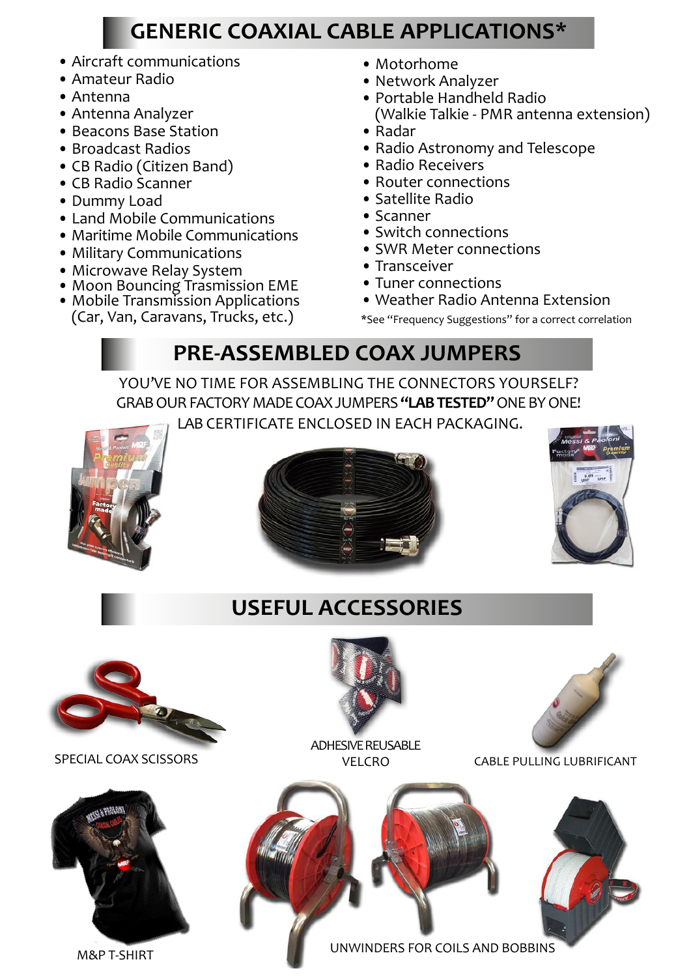## **GENERIC COAXIAL CABLE APPLICATIONS\***

- Aircraft communications
- Amateur Radio
- Antenna
- Antenna Analyzer
- Beacons Base Station
- Broadcast Radios
- CB Radio (Citizen Band)
- CB Radio Scanner
- Dummy Load
- Land Mobile Communications
- Maritime Mobile Communications
- Military Communications
- Microwave Relay System
- Moon Bouncing Trasmission EME
- Mobile Transmission Applications
- (Car, Van, Caravans, Trucks, etc.)
- Motorhome
- Network Analyzer
- Portable Handheld Radio (Walkie Talkie - PMR antenna extension)
- Radar
- Radio Astronomy and Telescope
- Radio Receivers
- Router connections
- Satellite Radio
- Scanner
- Switch connections
- SWR Meter connections
- Transceiver
- Tuner connections
- Weather Radio Antenna Extension

\*See ''Frequency Suggestions" for a correct correlation

# **PRE-ASSEMBLED COAX JUMPERS**

YOU'VE NO TIME FOR ASSEMBLING THE CONNECTORS YOURSELF? GRAB OUR FACTORY MADE COAX JUMPERS **"LAB TESTED"** ONE BY ONE! LAB CERTIFICATE ENCLOSED IN EACH PACKAGING.







## **USEFUL ACCESSORIES**







ADHESIVE REUSABLE



SPECIAL COAX SCISSORS VELCRO CABLE PULLING LUBRIFICANT

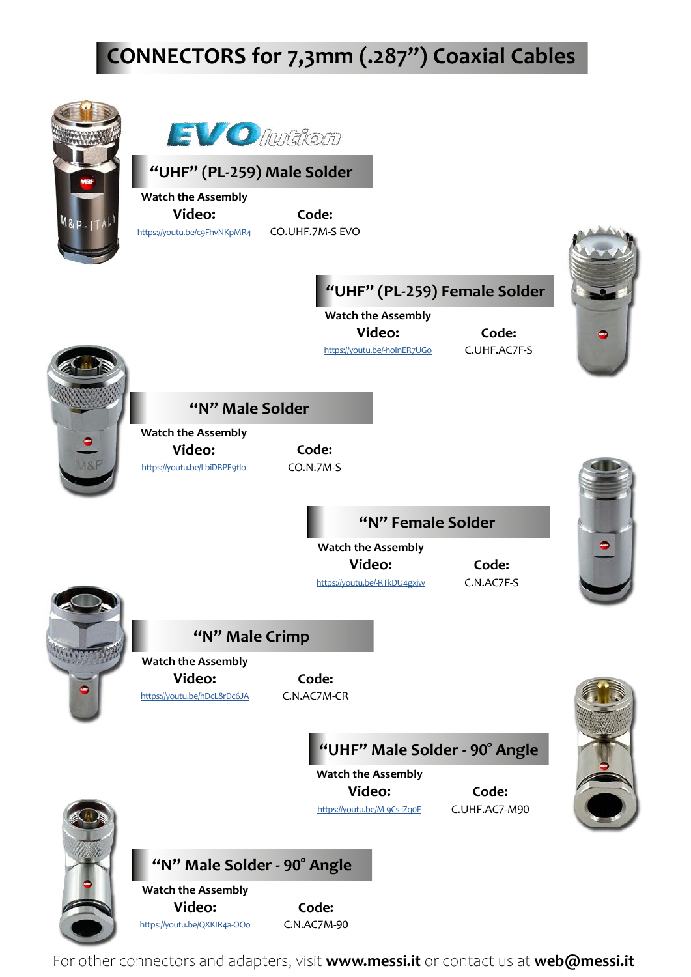# **CONNECTORS for 7,3mm (.287") Coaxial Cables**





https://youtu.be/hDcL8rDc6JA C.N.AC7M-CR

**"UHF" Male Solder - 90° Angle**

**Watch the Assembly Video: Code:** https://youtu.be/M-9Cs-iZq0E C.UHF.AC7-M90







**"N" Male Solder - 90° Angle**

**Watch the Assembly Video: Code:** https://youtu.be/QXKIR4a-OOo C.N.AC7M-90

For other connectors and adapters, visit **www.messi.it** or contact us at **web@messi.it**